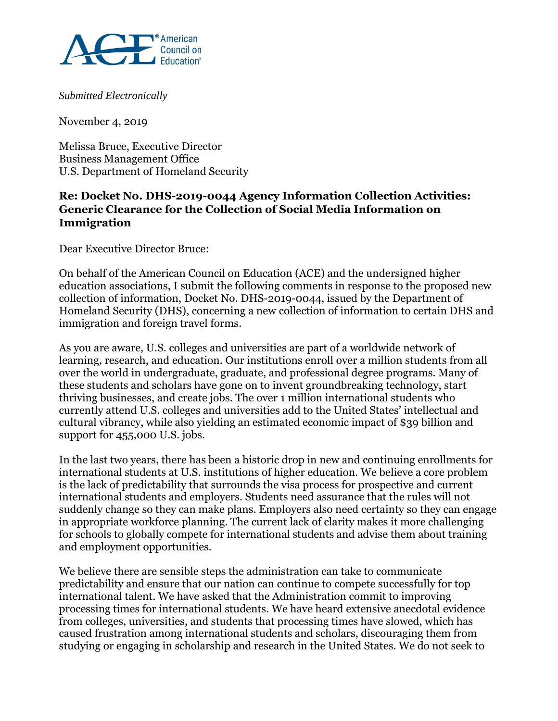

*Submitted Electronically*

November 4, 2019

Melissa Bruce, Executive Director Business Management Office U.S. Department of Homeland Security

## **Re: Docket No. DHS-2019-0044 Agency Information Collection Activities: Generic Clearance for the Collection of Social Media Information on Immigration**

Dear Executive Director Bruce:

On behalf of the American Council on Education (ACE) and the undersigned higher education associations, I submit the following comments in response to the proposed new collection of information, Docket No. DHS-2019-0044, issued by the Department of Homeland Security (DHS), concerning a new collection of information to certain DHS and immigration and foreign travel forms.

As you are aware, U.S. colleges and universities are part of a worldwide network of learning, research, and education. Our institutions enroll over a million students from all over the world in undergraduate, graduate, and professional degree programs. Many of these students and scholars have gone on to invent groundbreaking technology, start thriving businesses, and create jobs. The over 1 million international students who currently attend U.S. colleges and universities add to the United States' intellectual and cultural vibrancy, while also yielding an estimated economic impact of \$39 billion and support for 455,000 U.S. jobs.

In the last two years, there has been a historic drop in new and continuing enrollments for international students at U.S. institutions of higher education. We believe a core problem is the lack of predictability that surrounds the visa process for prospective and current international students and employers. Students need assurance that the rules will not suddenly change so they can make plans. Employers also need certainty so they can engage in appropriate workforce planning. The current lack of clarity makes it more challenging for schools to globally compete for international students and advise them about training and employment opportunities.

We believe there are sensible steps the administration can take to communicate predictability and ensure that our nation can continue to compete successfully for top international talent. We have asked that the Administration commit to improving processing times for international students. We have heard extensive anecdotal evidence from colleges, universities, and students that processing times have slowed, which has caused frustration among international students and scholars, discouraging them from studying or engaging in scholarship and research in the United States. We do not seek to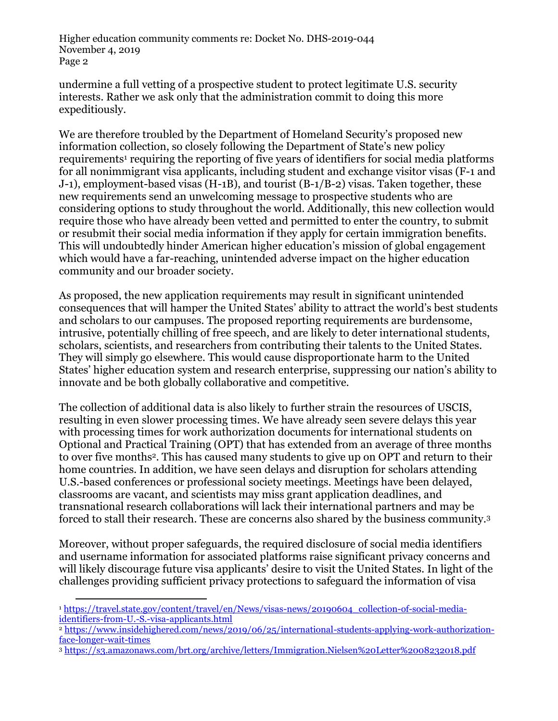Higher education community comments re: Docket No. DHS-2019-044 November 4, 2019 Page 2

undermine a full vetting of a prospective student to protect legitimate U.S. security interests. Rather we ask only that the administration commit to doing this more expeditiously.

We are therefore troubled by the Department of Homeland Security's proposed new information collection, so closely following the Department of State's new policy requirements<sup>1</sup> requiring the reporting of five years of identifiers for social media platforms for all nonimmigrant visa applicants, including student and exchange visitor visas (F-1 and J-1), employment-based visas (H-1B), and tourist (B-1/B-2) visas. Taken together, these new requirements send an unwelcoming message to prospective students who are considering options to study throughout the world. Additionally, this new collection would require those who have already been vetted and permitted to enter the country, to submit or resubmit their social media information if they apply for certain immigration benefits. This will undoubtedly hinder American higher education's mission of global engagement which would have a far-reaching, unintended adverse impact on the higher education community and our broader society.

As proposed, the new application requirements may result in significant unintended consequences that will hamper the United States' ability to attract the world's best students and scholars to our campuses. The proposed reporting requirements are burdensome, intrusive, potentially chilling of free speech, and are likely to deter international students, scholars, scientists, and researchers from contributing their talents to the United States. They will simply go elsewhere. This would cause disproportionate harm to the United States' higher education system and research enterprise, suppressing our nation's ability to innovate and be both globally collaborative and competitive.

The collection of additional data is also likely to further strain the resources of USCIS, resulting in even slower processing times. We have already seen severe delays this year with processing times for work authorization documents for international students on Optional and Practical Training (OPT) that has extended from an average of three months to over five months2. This has caused many students to give up on OPT and return to their home countries. In addition, we have seen delays and disruption for scholars attending U.S.-based conferences or professional society meetings. Meetings have been delayed, classrooms are vacant, and scientists may miss grant application deadlines, and transnational research collaborations will lack their international partners and may be forced to stall their research. These are concerns also shared by the business community.<sup>3</sup>

Moreover, without proper safeguards, the required disclosure of social media identifiers and username information for associated platforms raise significant privacy concerns and will likely discourage future visa applicants' desire to visit the United States. In light of the challenges providing sufficient privacy protections to safeguard the information of visa

 $\overline{a}$ <sup>1</sup> [https://travel.state.gov/content/travel/en/News/visas-news/20190604\\_collection-of-social-media](https://travel.state.gov/content/travel/en/News/visas-news/20190604_collection-of-social-media-identifiers-from-U.-S.-visa-applicants.html)[identifiers-from-U.-S.-visa-applicants.html](https://travel.state.gov/content/travel/en/News/visas-news/20190604_collection-of-social-media-identifiers-from-U.-S.-visa-applicants.html)

<sup>2</sup> [https://www.insidehighered.com/news/2019/06/25/international-students-applying-work-authorization](https://www.insidehighered.com/news/2019/06/25/international-students-applying-work-authorization-face-longer-wait-times)[face-longer-wait-times](https://www.insidehighered.com/news/2019/06/25/international-students-applying-work-authorization-face-longer-wait-times)

<sup>3</sup> <https://s3.amazonaws.com/brt.org/archive/letters/Immigration.Nielsen%20Letter%2008232018.pdf>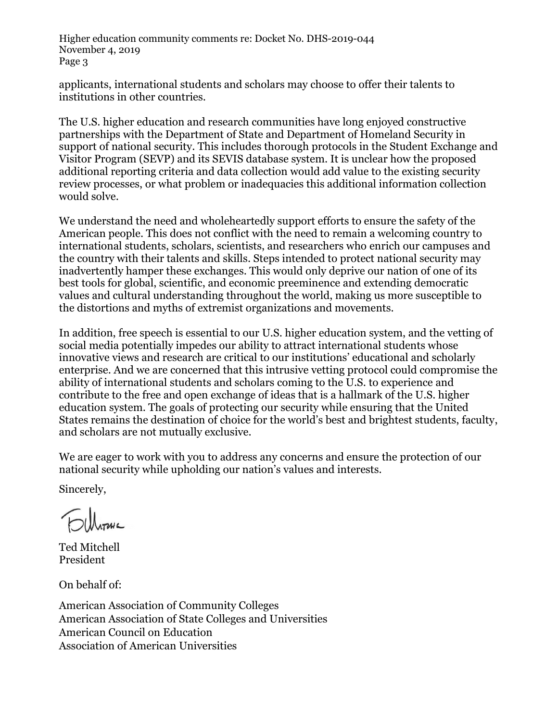Higher education community comments re: Docket No. DHS-2019-044 November 4, 2019 Page 3

applicants, international students and scholars may choose to offer their talents to institutions in other countries.

The U.S. higher education and research communities have long enjoyed constructive partnerships with the Department of State and Department of Homeland Security in support of national security. This includes thorough protocols in the Student Exchange and Visitor Program (SEVP) and its SEVIS database system. It is unclear how the proposed additional reporting criteria and data collection would add value to the existing security review processes, or what problem or inadequacies this additional information collection would solve.

We understand the need and wholeheartedly support efforts to ensure the safety of the American people. This does not conflict with the need to remain a welcoming country to international students, scholars, scientists, and researchers who enrich our campuses and the country with their talents and skills. Steps intended to protect national security may inadvertently hamper these exchanges. This would only deprive our nation of one of its best tools for global, scientific, and economic preeminence and extending democratic values and cultural understanding throughout the world, making us more susceptible to the distortions and myths of extremist organizations and movements.

In addition, free speech is essential to our U.S. higher education system, and the vetting of social media potentially impedes our ability to attract international students whose innovative views and research are critical to our institutions' educational and scholarly enterprise. And we are concerned that this intrusive vetting protocol could compromise the ability of international students and scholars coming to the U.S. to experience and contribute to the free and open exchange of ideas that is a hallmark of the U.S. higher education system. The goals of protecting our security while ensuring that the United States remains the destination of choice for the world's best and brightest students, faculty, and scholars are not mutually exclusive.

We are eager to work with you to address any concerns and ensure the protection of our national security while upholding our nation's values and interests.

Sincerely,

**Elleranc** 

Ted Mitchell President

On behalf of:

American Association of Community Colleges American Association of State Colleges and Universities American Council on Education Association of American Universities